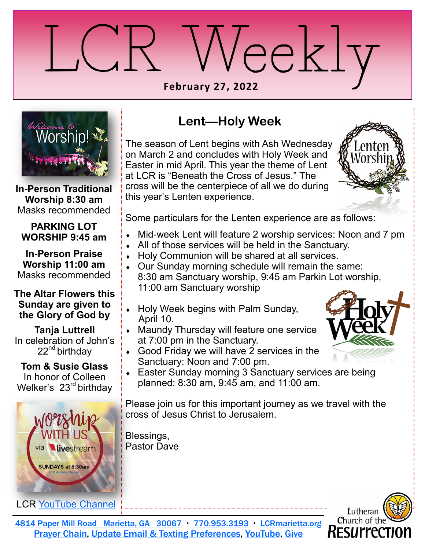



**In-Person Traditional Worship 8:30 am** Masks recommended

#### **PARKING LOT WORSHIP 9:45 am**

**In-Person Praise Worship 11:00 am** Masks recommended

#### **The Altar Flowers this Sunday are given to the Glory of God by**

**Tanja Luttrell** In celebration of John's  $22<sup>nd</sup>$  birthday

**Tom & Susie Glass** In honor of Colleen Welker's 23<sup>rd</sup> birthday



[LCR Y](https://www.youtube.com/user/LCRSermons)[ouTube Channel](https://www.youtube.com/channel/UC0xLXd8wqonXmxdYS3XZEvg)

# **Lent—Holy Week**

The season of Lent begins with Ash Wednesday on March 2 and concludes with Holy Week and Easter in mid April. This year the theme of Lent at LCR is "Beneath the Cross of Jesus." The cross will be the centerpiece of all we do during this year's Lenten experience.



Some particulars for the Lenten experience are as follows:

- Mid-week Lent will feature 2 worship services: Noon and 7 pm
- All of those services will be held in the Sanctuary.
- ◆ Holy Communion will be shared at all services.
- Our Sunday morning schedule will remain the same: 8:30 am Sanctuary worship, 9:45 am Parkin Lot worship, 11:00 am Sanctuary worship
- ◆ Holy Week begins with Palm Sunday, April 10.
- Maundy Thursday will feature one service at 7:00 pm in the Sanctuary.
- Good Friday we will have 2 services in the Sanctuary: Noon and 7:00 pm.



 Easter Sunday morning 3 Sanctuary services are being planned: 8:30 am, 9:45 am, and 11:00 am.

Please join us for this important journey as we travel with the cross of Jesus Christ to Jerusalem.

Blessings, Pastor Dave



[4814 Paper Mill Road Marietta, GA 30067](https://goo.gl/maps/KayLGSRiTzo) · [770.953.3193](tel:7709533193) · [LCRmarietta.org](http://www.lcrmarietta.org) [Prayer Chain,](mailto:prayerchain@lcrmarietta.org?subject=Prayer%20Request) [Update Email & Texting Preferences,](https://app.flocknote.com/LCR) [YouTube,](https://www.youtube.com/channel/UC0xLXd8wqonXmxdYS3XZEvg) [Give](https://www.eservicepayments.com/cgi-bin/Vanco_ver3.vps?appver3=Fi1giPL8kwX_Oe1AO50jRmZFtD1oWHODiTifILVjnEnHO3iVYxvvxhHjRfLOeq662EvVVAEjqawDomKT1pbouQuLJZHjjzAOat18GAkPO8o=)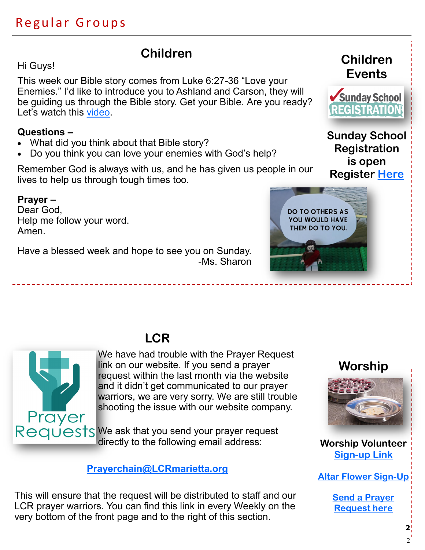# **Children**

#### Hi Guys!

This week our Bible story comes from Luke 6:27-36 "Love your Enemies." I'd like to introduce you to Ashland and Carson, they will be guiding us through the Bible story. Get your Bible. Are you ready? Let's watch this [video.](https://www.youtube.com/watch?v=E52hK0QLws4)

#### **Questions –**

- What did you think about that Bible story?
- Do you think you can love your enemies with God's help?

Remember God is always with us, and he has given us people in our lives to help us through tough times too.

### **Prayer –**

Dear God, Help me follow your word. Amen.

Have a blessed week and hope to see you on Sunday. -Ms. Sharon



**Children** 

**Sunday School Registration is open Register [Here](https://docs.google.com/forms/d/e/1FAIpQLSfF-SyBBfdKtlTcF0W--_ckXW8p97bHGwCS9uTa0vqnUyerpA/viewform)**



# **LCR**



We have had trouble with the Prayer Request link on our website. If you send a prayer request within the last month via the website and it didn't get communicated to our prayer warriors, we are very sorry. We are still trouble shooting the issue with our website company.

Requests We ask that you send your prayer request directly to the following email address:

### **[Prayerchain@LCRmarietta.org](mailto:prayerchain@lcrmarietta.org?subject=Prayer%20Request)**

This will ensure that the request will be distributed to staff and our LCR prayer warriors. You can find this link in every Weekly on the very bottom of the front page and to the right of this section.





**[Worship Volunteer](https://www.signupgenius.com/go/20f0c4ea9ad2fa7fb6-worship1) [Sign-up Link](https://www.signupgenius.com/index.cfm?go=c.SignUpSearch&eid=0BC2CADAFEC9FA63&cs=09B1BADD8FBC8B147B7A640E5BB79BCD&sortby=l.title)**

**[Altar Flower Sign-Up](https://www.signupgenius.com/go/20f0c4ea9ad2fa7fb6-altar)**

**[Send a Prayer](mailto:Prayerchain@lcrmarietta.org?subject=Prayer%20Request)  [Request here](mailto:Prayerchain@lcrmarietta.org?subject=Prayer%20Request)**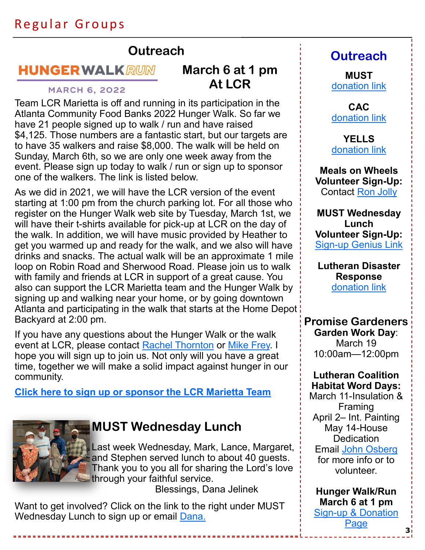# **Outreach**

**March 6 at 1 pm At LCR**

### **HUNGER WALK RUN**

#### **MARCH 6, 2022**

Team LCR Marietta is off and running in its participation in the Atlanta Community Food Banks 2022 Hunger Walk. So far we have 21 people signed up to walk / run and have raised \$4,125. Those numbers are a fantastic start, but our targets are to have 35 walkers and raise \$8,000. The walk will be held on Sunday, March 6th, so we are only one week away from the event. Please sign up today to walk / run or sign up to sponsor one of the walkers. The link is listed below.

As we did in 2021, we will have the LCR version of the event starting at 1:00 pm from the church parking lot. For all those who register on the Hunger Walk web site by Tuesday, March 1st, we will have their t-shirts available for pick-up at LCR on the day of the walk. In addition, we will have music provided by Heather to get you warmed up and ready for the walk, and we also will have drinks and snacks. The actual walk will be an approximate 1 mile loop on Robin Road and Sherwood Road. Please join us to walk with family and friends at LCR in support of a great cause. You also can support the LCR Marietta team and the Hunger Walk by signing up and walking near your home, or by going downtown Atlanta and participating in the walk that starts at the Home Depot Backyard at 2:00 pm.

If you have any questions about the Hunger Walk or the walk event at LCR, please contact [Rachel Thornton](mailto:rachmthornton@gmail.com?subject=Hunger%20Walk) or [Mike Frey.](mailto:mfrey@mindspring.com?subject=Hunger%20Walk) I hope you will sign up to join us. Not only will you have a great time, together we will make a solid impact against hunger in our community.

**[Click here to sign up or sponsor the LCR Marietta Team](http://engage.acfb.org/site/TR?team_id=39927&pg=team&fr_id=2095&et=XyN2yTyjA1LdAv1KZabCumAZxYj4XXnVeklw86GnmgIHXiYZhM3bew&s_tafId=18349)**



## **MUST Wednesday Lunch**

Last week Wednesday, Mark, Lance, Margaret, and Stephen served lunch to about 40 guests. Thank you to you all for sharing the Lord's love **through your faithful service.** Blessings, Dana Jelinek

Want to get involved? Click on the link to the right under MUST Wednesday Lunch to sign up or email [Dana.](mailto:danabooth@hotmail.com?subject=MUST%20Wed%20Lunch)

------------------

# **Outreach**

**MUST** [donation link](https://www.mustministries.org/give-help)

**CAC** [donation link](https://www.ourcac.org/donate-online/)

**YELLS** [donation link](http://www.yellsinc.org/donate/)

**Meals on Wheels Volunteer Sign-Up:** Contact [Ron Jolly](mailto:ron.jolly46@gmail.com?subject=MOW)

**MUST Wednesday Lunch Volunteer Sign-Up:** Sign-[up Genius Link](https://www.signupgenius.com/go/20f0c4ea9ad2fa7fb6-must1)

**Lutheran Disaster Response** [donation link](https://www.elca.org/our-work/relief-and-development/lutheran-disaster-response)

**Promise Gardeners Garden Work Day**: March 19 10:00am—12:00pm

#### **Lutheran Coalition Habitat Word Days:**

March 11-Insulation & Framing April 2– Int. Painting May 14-House **Dedication** Email [John Osberg](mailto:josberg@bellsouth.net?subject=Habitat%20Build)  for more info or to volunteer.

**Hunger Walk/Run March 6 at 1 pm** Sign-[up & Donation](http://engage.acfb.org/site/TR?team_id=39927&pg=team&fr_id=2095&et=XyN2yTyjA1LdAv1KZabCumAZxYj4XXnVeklw86GnmgIHXiYZhM3bew&s_tafId=18349)  [Page](http://engage.acfb.org/site/TR?team_id=39927&pg=team&fr_id=2095&et=XyN2yTyjA1LdAv1KZabCumAZxYj4XXnVeklw86GnmgIHXiYZhM3bew&s_tafId=18349)